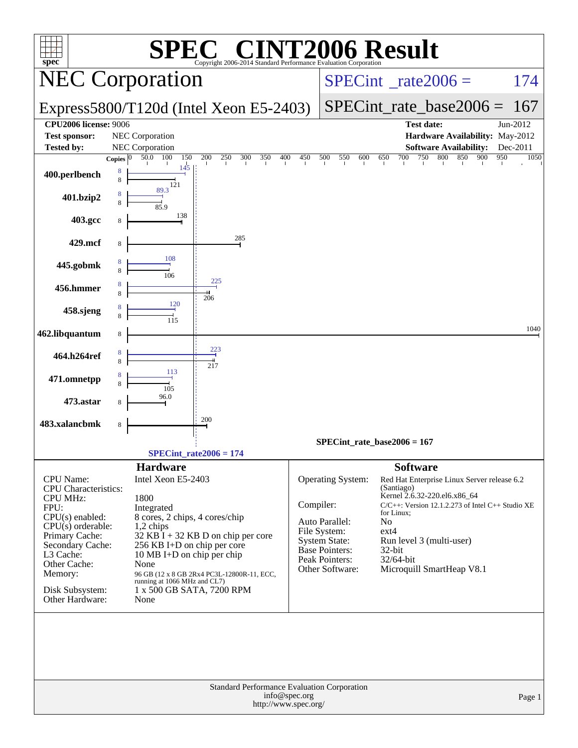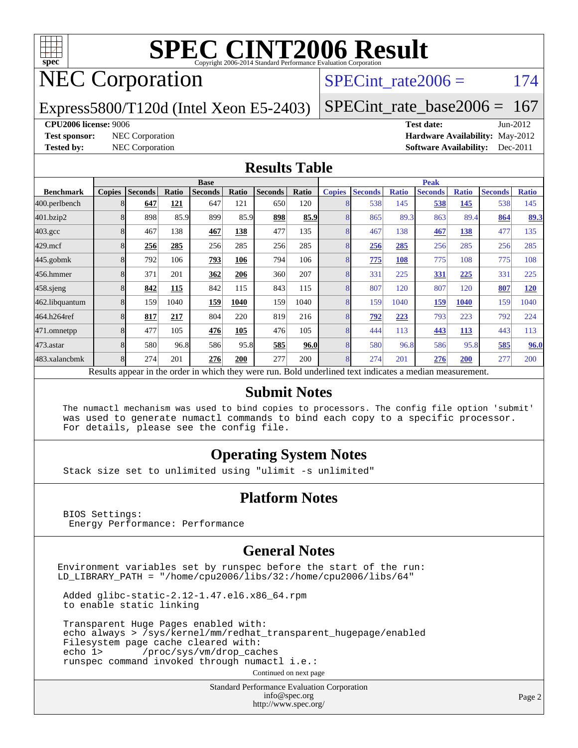

# NEC Corporation

#### SPECint rate $2006 = 174$

Express5800/T120d (Intel Xeon E5-2403)

[SPECint\\_rate\\_base2006 =](http://www.spec.org/auto/cpu2006/Docs/result-fields.html#SPECintratebase2006) 167

#### **[CPU2006 license:](http://www.spec.org/auto/cpu2006/Docs/result-fields.html#CPU2006license)** 9006 **[Test date:](http://www.spec.org/auto/cpu2006/Docs/result-fields.html#Testdate)** Jun-2012

**[Test sponsor:](http://www.spec.org/auto/cpu2006/Docs/result-fields.html#Testsponsor)** NEC Corporation **[Hardware Availability:](http://www.spec.org/auto/cpu2006/Docs/result-fields.html#HardwareAvailability)** May-2012 **[Tested by:](http://www.spec.org/auto/cpu2006/Docs/result-fields.html#Testedby)** NEC Corporation **[Software Availability:](http://www.spec.org/auto/cpu2006/Docs/result-fields.html#SoftwareAvailability)** Dec-2011

#### **[Results Table](http://www.spec.org/auto/cpu2006/Docs/result-fields.html#ResultsTable)**

|                    | <b>Base</b>   |                |       |                                                                                                          |       |                |       | <b>Peak</b>   |                |              |                |              |                |              |
|--------------------|---------------|----------------|-------|----------------------------------------------------------------------------------------------------------|-------|----------------|-------|---------------|----------------|--------------|----------------|--------------|----------------|--------------|
| <b>Benchmark</b>   | <b>Copies</b> | <b>Seconds</b> | Ratio | <b>Seconds</b>                                                                                           | Ratio | <b>Seconds</b> | Ratio | <b>Copies</b> | <b>Seconds</b> | <b>Ratio</b> | <b>Seconds</b> | <b>Ratio</b> | <b>Seconds</b> | <b>Ratio</b> |
| 400.perlbench      |               | 647            | 121   | 647                                                                                                      | 121   | 650            | 120   | 8             | 538            | 145          | 538            | 145          | 538            | 145          |
| 401.bzip2          |               | 898            | 85.9  | 899                                                                                                      | 85.9  | 898            | 85.9  | 8             | 865            | 89.3         | 863            | 89.4         | 864            | 89.3         |
| $403.\mathrm{gcc}$ |               | 467            | 138   | 467                                                                                                      | 138   | 477            | 135   | 8             | 467            | 138          | 467            | 138          | 477            | 135          |
| $429$ .mcf         |               | 256            | 285   | 256                                                                                                      | 285   | 256            | 285   | 8             | 256            | 285          | 256            | 285          | 256            | 285          |
| $445$ .gobmk       |               | 792            | 106   | 793                                                                                                      | 106   | 794            | 106   | 8             | 775            | 108          | 775            | 108          | 775            | 108          |
| 456.hmmer          |               | 371            | 201   | 362                                                                                                      | 206   | 360            | 207   | 8             | 331            | 225          | 331            | 225          | 331            | 225          |
| $458$ .sjeng       |               | 842            | 115   | 842                                                                                                      | 115   | 843            | 115   | 8             | 807            | 120          | 807            | 120          | 807            | <b>120</b>   |
| 462.libquantum     |               | 159            | 1040  | 159                                                                                                      | 1040  | 159            | 1040  | 8             | 159            | 1040         | 159            | 1040         | 159            | 1040         |
| 464.h264ref        |               | 817            | 217   | 804                                                                                                      | 220   | 819            | 216   | 8             | 792            | 223          | 793            | 223          | 792            | 224          |
| 471.omnetpp        |               | 477            | 105   | 476                                                                                                      | 105   | 476            | 105   | 8             | 444            | 113          | 443            | 113          | 443            | 113          |
| $473$ . astar      |               | 580            | 96.8  | 586                                                                                                      | 95.8  | 585            | 96.0  | 8             | 580            | 96.8         | 586            | 95.8         | 585            | 96.0         |
| 483.xalancbmk      |               | 274            | 201   | 276                                                                                                      | 200   | 277            | 200   | 8             | 274            | 201          | 276            | 200          | 277            | 200          |
|                    |               |                |       | Results appear in the order in which they were run. Bold underlined text indicates a median measurement. |       |                |       |               |                |              |                |              |                |              |

#### **[Submit Notes](http://www.spec.org/auto/cpu2006/Docs/result-fields.html#SubmitNotes)**

 The numactl mechanism was used to bind copies to processors. The config file option 'submit' was used to generate numactl commands to bind each copy to a specific processor. For details, please see the config file.

#### **[Operating System Notes](http://www.spec.org/auto/cpu2006/Docs/result-fields.html#OperatingSystemNotes)**

Stack size set to unlimited using "ulimit -s unlimited"

#### **[Platform Notes](http://www.spec.org/auto/cpu2006/Docs/result-fields.html#PlatformNotes)**

 BIOS Settings: Energy Performance: Performance

#### **[General Notes](http://www.spec.org/auto/cpu2006/Docs/result-fields.html#GeneralNotes)**

Environment variables set by runspec before the start of the run: LD\_LIBRARY\_PATH = "/home/cpu2006/libs/32:/home/cpu2006/libs/64"

 Added glibc-static-2.12-1.47.el6.x86\_64.rpm to enable static linking

 Transparent Huge Pages enabled with: echo always > /sys/kernel/mm/redhat\_transparent\_hugepage/enabled Filesystem page cache cleared with: echo 1> /proc/sys/vm/drop\_caches runspec command invoked through numactl i.e.:

Continued on next page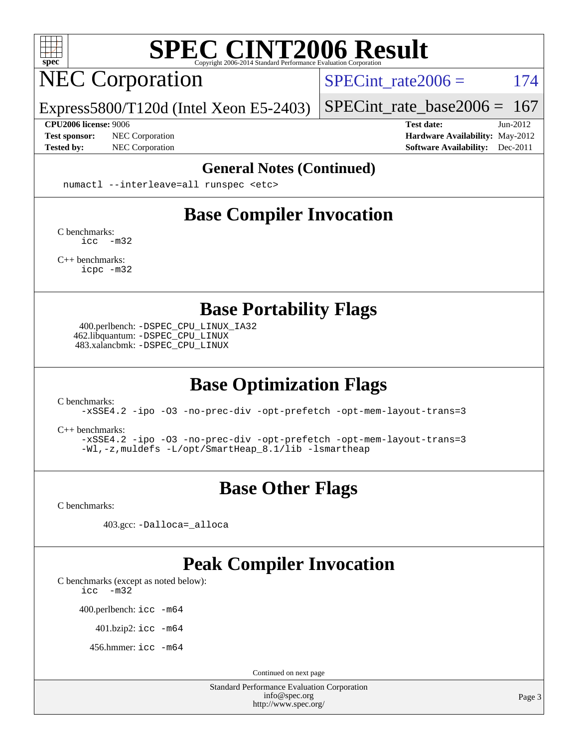

# NEC Corporation

SPECint rate $2006 = 174$ 

Express5800/T120d (Intel Xeon E5-2403)

**[Test sponsor:](http://www.spec.org/auto/cpu2006/Docs/result-fields.html#Testsponsor)** NEC Corporation **[Hardware Availability:](http://www.spec.org/auto/cpu2006/Docs/result-fields.html#HardwareAvailability)** May-2012

[SPECint\\_rate\\_base2006 =](http://www.spec.org/auto/cpu2006/Docs/result-fields.html#SPECintratebase2006)  $167$ **[CPU2006 license:](http://www.spec.org/auto/cpu2006/Docs/result-fields.html#CPU2006license)** 9006 **[Test date:](http://www.spec.org/auto/cpu2006/Docs/result-fields.html#Testdate)** Jun-2012

**[Tested by:](http://www.spec.org/auto/cpu2006/Docs/result-fields.html#Testedby)** NEC Corporation **[Software Availability:](http://www.spec.org/auto/cpu2006/Docs/result-fields.html#SoftwareAvailability)** Dec-2011

#### **[General Notes \(Continued\)](http://www.spec.org/auto/cpu2006/Docs/result-fields.html#GeneralNotes)**

numactl --interleave=all runspec <etc>

### **[Base Compiler Invocation](http://www.spec.org/auto/cpu2006/Docs/result-fields.html#BaseCompilerInvocation)**

[C benchmarks](http://www.spec.org/auto/cpu2006/Docs/result-fields.html#Cbenchmarks): [icc -m32](http://www.spec.org/cpu2006/results/res2012q3/cpu2006-20120617-22919.flags.html#user_CCbase_intel_icc_5ff4a39e364c98233615fdd38438c6f2)

[C++ benchmarks:](http://www.spec.org/auto/cpu2006/Docs/result-fields.html#CXXbenchmarks) [icpc -m32](http://www.spec.org/cpu2006/results/res2012q3/cpu2006-20120617-22919.flags.html#user_CXXbase_intel_icpc_4e5a5ef1a53fd332b3c49e69c3330699)

**[Base Portability Flags](http://www.spec.org/auto/cpu2006/Docs/result-fields.html#BasePortabilityFlags)**

 400.perlbench: [-DSPEC\\_CPU\\_LINUX\\_IA32](http://www.spec.org/cpu2006/results/res2012q3/cpu2006-20120617-22919.flags.html#b400.perlbench_baseCPORTABILITY_DSPEC_CPU_LINUX_IA32) 462.libquantum: [-DSPEC\\_CPU\\_LINUX](http://www.spec.org/cpu2006/results/res2012q3/cpu2006-20120617-22919.flags.html#b462.libquantum_baseCPORTABILITY_DSPEC_CPU_LINUX) 483.xalancbmk: [-DSPEC\\_CPU\\_LINUX](http://www.spec.org/cpu2006/results/res2012q3/cpu2006-20120617-22919.flags.html#b483.xalancbmk_baseCXXPORTABILITY_DSPEC_CPU_LINUX)

### **[Base Optimization Flags](http://www.spec.org/auto/cpu2006/Docs/result-fields.html#BaseOptimizationFlags)**

[C benchmarks](http://www.spec.org/auto/cpu2006/Docs/result-fields.html#Cbenchmarks):

[-xSSE4.2](http://www.spec.org/cpu2006/results/res2012q3/cpu2006-20120617-22919.flags.html#user_CCbase_f-xSSE42_f91528193cf0b216347adb8b939d4107) [-ipo](http://www.spec.org/cpu2006/results/res2012q3/cpu2006-20120617-22919.flags.html#user_CCbase_f-ipo) [-O3](http://www.spec.org/cpu2006/results/res2012q3/cpu2006-20120617-22919.flags.html#user_CCbase_f-O3) [-no-prec-div](http://www.spec.org/cpu2006/results/res2012q3/cpu2006-20120617-22919.flags.html#user_CCbase_f-no-prec-div) [-opt-prefetch](http://www.spec.org/cpu2006/results/res2012q3/cpu2006-20120617-22919.flags.html#user_CCbase_f-opt-prefetch) [-opt-mem-layout-trans=3](http://www.spec.org/cpu2006/results/res2012q3/cpu2006-20120617-22919.flags.html#user_CCbase_f-opt-mem-layout-trans_a7b82ad4bd7abf52556d4961a2ae94d5)

[C++ benchmarks:](http://www.spec.org/auto/cpu2006/Docs/result-fields.html#CXXbenchmarks)

[-xSSE4.2](http://www.spec.org/cpu2006/results/res2012q3/cpu2006-20120617-22919.flags.html#user_CXXbase_f-xSSE42_f91528193cf0b216347adb8b939d4107) [-ipo](http://www.spec.org/cpu2006/results/res2012q3/cpu2006-20120617-22919.flags.html#user_CXXbase_f-ipo) [-O3](http://www.spec.org/cpu2006/results/res2012q3/cpu2006-20120617-22919.flags.html#user_CXXbase_f-O3) [-no-prec-div](http://www.spec.org/cpu2006/results/res2012q3/cpu2006-20120617-22919.flags.html#user_CXXbase_f-no-prec-div) [-opt-prefetch](http://www.spec.org/cpu2006/results/res2012q3/cpu2006-20120617-22919.flags.html#user_CXXbase_f-opt-prefetch) [-opt-mem-layout-trans=3](http://www.spec.org/cpu2006/results/res2012q3/cpu2006-20120617-22919.flags.html#user_CXXbase_f-opt-mem-layout-trans_a7b82ad4bd7abf52556d4961a2ae94d5) [-Wl,-z,muldefs](http://www.spec.org/cpu2006/results/res2012q3/cpu2006-20120617-22919.flags.html#user_CXXbase_link_force_multiple1_74079c344b956b9658436fd1b6dd3a8a) [-L/opt/SmartHeap\\_8.1/lib -lsmartheap](http://www.spec.org/cpu2006/results/res2012q3/cpu2006-20120617-22919.flags.html#user_CXXbase_SmartHeap_d5ba4dfc9de25d3c657c7de7476e66c5)

### **[Base Other Flags](http://www.spec.org/auto/cpu2006/Docs/result-fields.html#BaseOtherFlags)**

[C benchmarks](http://www.spec.org/auto/cpu2006/Docs/result-fields.html#Cbenchmarks):

403.gcc: [-Dalloca=\\_alloca](http://www.spec.org/cpu2006/results/res2012q3/cpu2006-20120617-22919.flags.html#b403.gcc_baseEXTRA_CFLAGS_Dalloca_be3056838c12de2578596ca5467af7f3)

#### **[Peak Compiler Invocation](http://www.spec.org/auto/cpu2006/Docs/result-fields.html#PeakCompilerInvocation)**

[C benchmarks \(except as noted below\)](http://www.spec.org/auto/cpu2006/Docs/result-fields.html#Cbenchmarksexceptasnotedbelow):

[icc -m32](http://www.spec.org/cpu2006/results/res2012q3/cpu2006-20120617-22919.flags.html#user_CCpeak_intel_icc_5ff4a39e364c98233615fdd38438c6f2)

400.perlbench: [icc -m64](http://www.spec.org/cpu2006/results/res2012q3/cpu2006-20120617-22919.flags.html#user_peakCCLD400_perlbench_intel_icc_64bit_bda6cc9af1fdbb0edc3795bac97ada53)

401.bzip2: [icc -m64](http://www.spec.org/cpu2006/results/res2012q3/cpu2006-20120617-22919.flags.html#user_peakCCLD401_bzip2_intel_icc_64bit_bda6cc9af1fdbb0edc3795bac97ada53)

456.hmmer: [icc -m64](http://www.spec.org/cpu2006/results/res2012q3/cpu2006-20120617-22919.flags.html#user_peakCCLD456_hmmer_intel_icc_64bit_bda6cc9af1fdbb0edc3795bac97ada53)

Continued on next page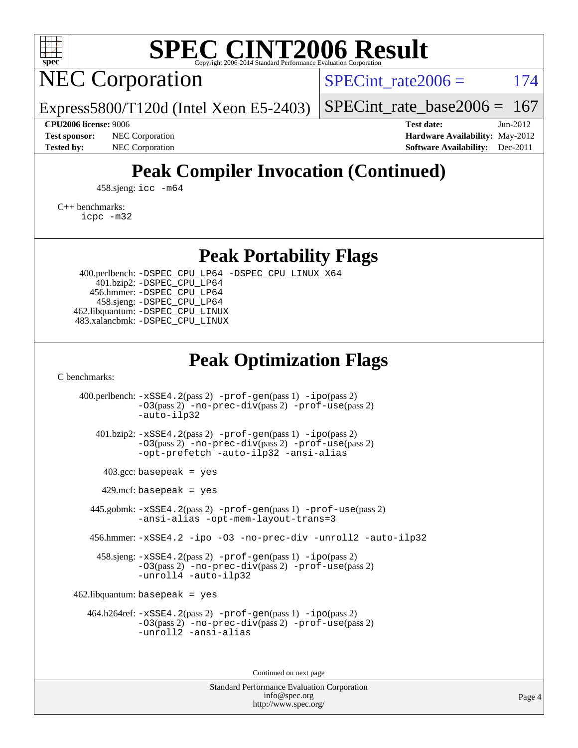

NEC Corporation

SPECint rate $2006 = 174$ 

Express5800/T120d (Intel Xeon E5-2403)

[SPECint\\_rate\\_base2006 =](http://www.spec.org/auto/cpu2006/Docs/result-fields.html#SPECintratebase2006)  $167$ 

**[CPU2006 license:](http://www.spec.org/auto/cpu2006/Docs/result-fields.html#CPU2006license)** 9006 **[Test date:](http://www.spec.org/auto/cpu2006/Docs/result-fields.html#Testdate)** Jun-2012 **[Test sponsor:](http://www.spec.org/auto/cpu2006/Docs/result-fields.html#Testsponsor)** NEC Corporation **NEC Corporation [Hardware Availability:](http://www.spec.org/auto/cpu2006/Docs/result-fields.html#HardwareAvailability)** May-2012 **[Tested by:](http://www.spec.org/auto/cpu2006/Docs/result-fields.html#Testedby)** NEC Corporation **[Software Availability:](http://www.spec.org/auto/cpu2006/Docs/result-fields.html#SoftwareAvailability)** Dec-2011

## **[Peak Compiler Invocation \(Continued\)](http://www.spec.org/auto/cpu2006/Docs/result-fields.html#PeakCompilerInvocation)**

458.sjeng: [icc -m64](http://www.spec.org/cpu2006/results/res2012q3/cpu2006-20120617-22919.flags.html#user_peakCCLD458_sjeng_intel_icc_64bit_bda6cc9af1fdbb0edc3795bac97ada53)

[C++ benchmarks:](http://www.spec.org/auto/cpu2006/Docs/result-fields.html#CXXbenchmarks)

[icpc -m32](http://www.spec.org/cpu2006/results/res2012q3/cpu2006-20120617-22919.flags.html#user_CXXpeak_intel_icpc_4e5a5ef1a53fd332b3c49e69c3330699)

**[Peak Portability Flags](http://www.spec.org/auto/cpu2006/Docs/result-fields.html#PeakPortabilityFlags)**

 400.perlbench: [-DSPEC\\_CPU\\_LP64](http://www.spec.org/cpu2006/results/res2012q3/cpu2006-20120617-22919.flags.html#b400.perlbench_peakCPORTABILITY_DSPEC_CPU_LP64) [-DSPEC\\_CPU\\_LINUX\\_X64](http://www.spec.org/cpu2006/results/res2012q3/cpu2006-20120617-22919.flags.html#b400.perlbench_peakCPORTABILITY_DSPEC_CPU_LINUX_X64) 401.bzip2: [-DSPEC\\_CPU\\_LP64](http://www.spec.org/cpu2006/results/res2012q3/cpu2006-20120617-22919.flags.html#suite_peakCPORTABILITY401_bzip2_DSPEC_CPU_LP64) 456.hmmer: [-DSPEC\\_CPU\\_LP64](http://www.spec.org/cpu2006/results/res2012q3/cpu2006-20120617-22919.flags.html#suite_peakCPORTABILITY456_hmmer_DSPEC_CPU_LP64) 458.sjeng: [-DSPEC\\_CPU\\_LP64](http://www.spec.org/cpu2006/results/res2012q3/cpu2006-20120617-22919.flags.html#suite_peakCPORTABILITY458_sjeng_DSPEC_CPU_LP64) 462.libquantum: [-DSPEC\\_CPU\\_LINUX](http://www.spec.org/cpu2006/results/res2012q3/cpu2006-20120617-22919.flags.html#b462.libquantum_peakCPORTABILITY_DSPEC_CPU_LINUX) 483.xalancbmk: [-DSPEC\\_CPU\\_LINUX](http://www.spec.org/cpu2006/results/res2012q3/cpu2006-20120617-22919.flags.html#b483.xalancbmk_peakCXXPORTABILITY_DSPEC_CPU_LINUX)

### **[Peak Optimization Flags](http://www.spec.org/auto/cpu2006/Docs/result-fields.html#PeakOptimizationFlags)**

[C benchmarks](http://www.spec.org/auto/cpu2006/Docs/result-fields.html#Cbenchmarks):

 400.perlbench: [-xSSE4.2](http://www.spec.org/cpu2006/results/res2012q3/cpu2006-20120617-22919.flags.html#user_peakPASS2_CFLAGSPASS2_LDCFLAGS400_perlbench_f-xSSE42_f91528193cf0b216347adb8b939d4107)(pass 2) [-prof-gen](http://www.spec.org/cpu2006/results/res2012q3/cpu2006-20120617-22919.flags.html#user_peakPASS1_CFLAGSPASS1_LDCFLAGS400_perlbench_prof_gen_e43856698f6ca7b7e442dfd80e94a8fc)(pass 1) [-ipo](http://www.spec.org/cpu2006/results/res2012q3/cpu2006-20120617-22919.flags.html#user_peakPASS2_CFLAGSPASS2_LDCFLAGS400_perlbench_f-ipo)(pass 2) [-O3](http://www.spec.org/cpu2006/results/res2012q3/cpu2006-20120617-22919.flags.html#user_peakPASS2_CFLAGSPASS2_LDCFLAGS400_perlbench_f-O3)(pass 2) [-no-prec-div](http://www.spec.org/cpu2006/results/res2012q3/cpu2006-20120617-22919.flags.html#user_peakPASS2_CFLAGSPASS2_LDCFLAGS400_perlbench_f-no-prec-div)(pass 2) [-prof-use](http://www.spec.org/cpu2006/results/res2012q3/cpu2006-20120617-22919.flags.html#user_peakPASS2_CFLAGSPASS2_LDCFLAGS400_perlbench_prof_use_bccf7792157ff70d64e32fe3e1250b55)(pass 2) [-auto-ilp32](http://www.spec.org/cpu2006/results/res2012q3/cpu2006-20120617-22919.flags.html#user_peakCOPTIMIZE400_perlbench_f-auto-ilp32) 401.bzip2: [-xSSE4.2](http://www.spec.org/cpu2006/results/res2012q3/cpu2006-20120617-22919.flags.html#user_peakPASS2_CFLAGSPASS2_LDCFLAGS401_bzip2_f-xSSE42_f91528193cf0b216347adb8b939d4107)(pass 2) [-prof-gen](http://www.spec.org/cpu2006/results/res2012q3/cpu2006-20120617-22919.flags.html#user_peakPASS1_CFLAGSPASS1_LDCFLAGS401_bzip2_prof_gen_e43856698f6ca7b7e442dfd80e94a8fc)(pass 1) [-ipo](http://www.spec.org/cpu2006/results/res2012q3/cpu2006-20120617-22919.flags.html#user_peakPASS2_CFLAGSPASS2_LDCFLAGS401_bzip2_f-ipo)(pass 2) [-O3](http://www.spec.org/cpu2006/results/res2012q3/cpu2006-20120617-22919.flags.html#user_peakPASS2_CFLAGSPASS2_LDCFLAGS401_bzip2_f-O3)(pass 2) [-no-prec-div](http://www.spec.org/cpu2006/results/res2012q3/cpu2006-20120617-22919.flags.html#user_peakPASS2_CFLAGSPASS2_LDCFLAGS401_bzip2_f-no-prec-div)(pass 2) [-prof-use](http://www.spec.org/cpu2006/results/res2012q3/cpu2006-20120617-22919.flags.html#user_peakPASS2_CFLAGSPASS2_LDCFLAGS401_bzip2_prof_use_bccf7792157ff70d64e32fe3e1250b55)(pass 2) [-opt-prefetch](http://www.spec.org/cpu2006/results/res2012q3/cpu2006-20120617-22919.flags.html#user_peakCOPTIMIZE401_bzip2_f-opt-prefetch) [-auto-ilp32](http://www.spec.org/cpu2006/results/res2012q3/cpu2006-20120617-22919.flags.html#user_peakCOPTIMIZE401_bzip2_f-auto-ilp32) [-ansi-alias](http://www.spec.org/cpu2006/results/res2012q3/cpu2006-20120617-22919.flags.html#user_peakCOPTIMIZE401_bzip2_f-ansi-alias)  $403.\text{gcc: basepeak}$  = yes  $429$ .mcf: basepeak = yes 445.gobmk: [-xSSE4.2](http://www.spec.org/cpu2006/results/res2012q3/cpu2006-20120617-22919.flags.html#user_peakPASS2_CFLAGSPASS2_LDCFLAGS445_gobmk_f-xSSE42_f91528193cf0b216347adb8b939d4107)(pass 2) [-prof-gen](http://www.spec.org/cpu2006/results/res2012q3/cpu2006-20120617-22919.flags.html#user_peakPASS1_CFLAGSPASS1_LDCFLAGS445_gobmk_prof_gen_e43856698f6ca7b7e442dfd80e94a8fc)(pass 1) [-prof-use](http://www.spec.org/cpu2006/results/res2012q3/cpu2006-20120617-22919.flags.html#user_peakPASS2_CFLAGSPASS2_LDCFLAGS445_gobmk_prof_use_bccf7792157ff70d64e32fe3e1250b55)(pass 2) [-ansi-alias](http://www.spec.org/cpu2006/results/res2012q3/cpu2006-20120617-22919.flags.html#user_peakCOPTIMIZE445_gobmk_f-ansi-alias) [-opt-mem-layout-trans=3](http://www.spec.org/cpu2006/results/res2012q3/cpu2006-20120617-22919.flags.html#user_peakCOPTIMIZE445_gobmk_f-opt-mem-layout-trans_a7b82ad4bd7abf52556d4961a2ae94d5) 456.hmmer: [-xSSE4.2](http://www.spec.org/cpu2006/results/res2012q3/cpu2006-20120617-22919.flags.html#user_peakCOPTIMIZE456_hmmer_f-xSSE42_f91528193cf0b216347adb8b939d4107) [-ipo](http://www.spec.org/cpu2006/results/res2012q3/cpu2006-20120617-22919.flags.html#user_peakCOPTIMIZE456_hmmer_f-ipo) [-O3](http://www.spec.org/cpu2006/results/res2012q3/cpu2006-20120617-22919.flags.html#user_peakCOPTIMIZE456_hmmer_f-O3) [-no-prec-div](http://www.spec.org/cpu2006/results/res2012q3/cpu2006-20120617-22919.flags.html#user_peakCOPTIMIZE456_hmmer_f-no-prec-div) [-unroll2](http://www.spec.org/cpu2006/results/res2012q3/cpu2006-20120617-22919.flags.html#user_peakCOPTIMIZE456_hmmer_f-unroll_784dae83bebfb236979b41d2422d7ec2) [-auto-ilp32](http://www.spec.org/cpu2006/results/res2012q3/cpu2006-20120617-22919.flags.html#user_peakCOPTIMIZE456_hmmer_f-auto-ilp32) 458.sjeng: [-xSSE4.2](http://www.spec.org/cpu2006/results/res2012q3/cpu2006-20120617-22919.flags.html#user_peakPASS2_CFLAGSPASS2_LDCFLAGS458_sjeng_f-xSSE42_f91528193cf0b216347adb8b939d4107)(pass 2) [-prof-gen](http://www.spec.org/cpu2006/results/res2012q3/cpu2006-20120617-22919.flags.html#user_peakPASS1_CFLAGSPASS1_LDCFLAGS458_sjeng_prof_gen_e43856698f6ca7b7e442dfd80e94a8fc)(pass 1) [-ipo](http://www.spec.org/cpu2006/results/res2012q3/cpu2006-20120617-22919.flags.html#user_peakPASS2_CFLAGSPASS2_LDCFLAGS458_sjeng_f-ipo)(pass 2) [-O3](http://www.spec.org/cpu2006/results/res2012q3/cpu2006-20120617-22919.flags.html#user_peakPASS2_CFLAGSPASS2_LDCFLAGS458_sjeng_f-O3)(pass 2) [-no-prec-div](http://www.spec.org/cpu2006/results/res2012q3/cpu2006-20120617-22919.flags.html#user_peakPASS2_CFLAGSPASS2_LDCFLAGS458_sjeng_f-no-prec-div)(pass 2) [-prof-use](http://www.spec.org/cpu2006/results/res2012q3/cpu2006-20120617-22919.flags.html#user_peakPASS2_CFLAGSPASS2_LDCFLAGS458_sjeng_prof_use_bccf7792157ff70d64e32fe3e1250b55)(pass 2) [-unroll4](http://www.spec.org/cpu2006/results/res2012q3/cpu2006-20120617-22919.flags.html#user_peakCOPTIMIZE458_sjeng_f-unroll_4e5e4ed65b7fd20bdcd365bec371b81f) [-auto-ilp32](http://www.spec.org/cpu2006/results/res2012q3/cpu2006-20120617-22919.flags.html#user_peakCOPTIMIZE458_sjeng_f-auto-ilp32)  $462$ .libquantum: basepeak = yes 464.h264ref: [-xSSE4.2](http://www.spec.org/cpu2006/results/res2012q3/cpu2006-20120617-22919.flags.html#user_peakPASS2_CFLAGSPASS2_LDCFLAGS464_h264ref_f-xSSE42_f91528193cf0b216347adb8b939d4107)(pass 2) [-prof-gen](http://www.spec.org/cpu2006/results/res2012q3/cpu2006-20120617-22919.flags.html#user_peakPASS1_CFLAGSPASS1_LDCFLAGS464_h264ref_prof_gen_e43856698f6ca7b7e442dfd80e94a8fc)(pass 1) [-ipo](http://www.spec.org/cpu2006/results/res2012q3/cpu2006-20120617-22919.flags.html#user_peakPASS2_CFLAGSPASS2_LDCFLAGS464_h264ref_f-ipo)(pass 2) [-O3](http://www.spec.org/cpu2006/results/res2012q3/cpu2006-20120617-22919.flags.html#user_peakPASS2_CFLAGSPASS2_LDCFLAGS464_h264ref_f-O3)(pass 2) [-no-prec-div](http://www.spec.org/cpu2006/results/res2012q3/cpu2006-20120617-22919.flags.html#user_peakPASS2_CFLAGSPASS2_LDCFLAGS464_h264ref_f-no-prec-div)(pass 2) [-prof-use](http://www.spec.org/cpu2006/results/res2012q3/cpu2006-20120617-22919.flags.html#user_peakPASS2_CFLAGSPASS2_LDCFLAGS464_h264ref_prof_use_bccf7792157ff70d64e32fe3e1250b55)(pass 2) [-unroll2](http://www.spec.org/cpu2006/results/res2012q3/cpu2006-20120617-22919.flags.html#user_peakCOPTIMIZE464_h264ref_f-unroll_784dae83bebfb236979b41d2422d7ec2) [-ansi-alias](http://www.spec.org/cpu2006/results/res2012q3/cpu2006-20120617-22919.flags.html#user_peakCOPTIMIZE464_h264ref_f-ansi-alias)

Continued on next page